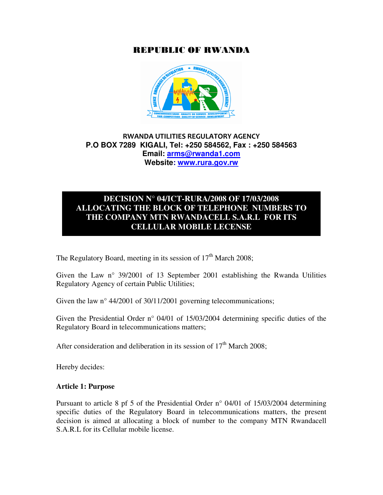## REPUBLIC OF RWANDA



## RWANDA UTILITIES REGULATORY AGENCY **P.O BOX 7289 KIGALI, Tel: +250 584562, Fax : +250 584563 Email: arms@rwanda1.com Website: www.rura.gov.rw**

## **DECISION N° 04/ICT-RURA/2008 OF 17/03/2008 ALLOCATING THE BLOCK OF TELEPHONE NUMBERS TO THE COMPANY MTN RWANDACELL S.A.R.L FOR ITS CELLULAR MOBILE LECENSE**

The Regulatory Board, meeting in its session of  $17<sup>th</sup>$  March 2008;

Given the Law n° 39/2001 of 13 September 2001 establishing the Rwanda Utilities Regulatory Agency of certain Public Utilities;

Given the law n° 44/2001 of 30/11/2001 governing telecommunications;

Given the Presidential Order n° 04/01 of 15/03/2004 determining specific duties of the Regulatory Board in telecommunications matters;

After consideration and deliberation in its session of  $17<sup>th</sup>$  March 2008;

Hereby decides:

#### **Article 1: Purpose**

Pursuant to article 8 pf 5 of the Presidential Order n° 04/01 of 15/03/2004 determining specific duties of the Regulatory Board in telecommunications matters, the present decision is aimed at allocating a block of number to the company MTN Rwandacell S.A.R.L for its Cellular mobile license.